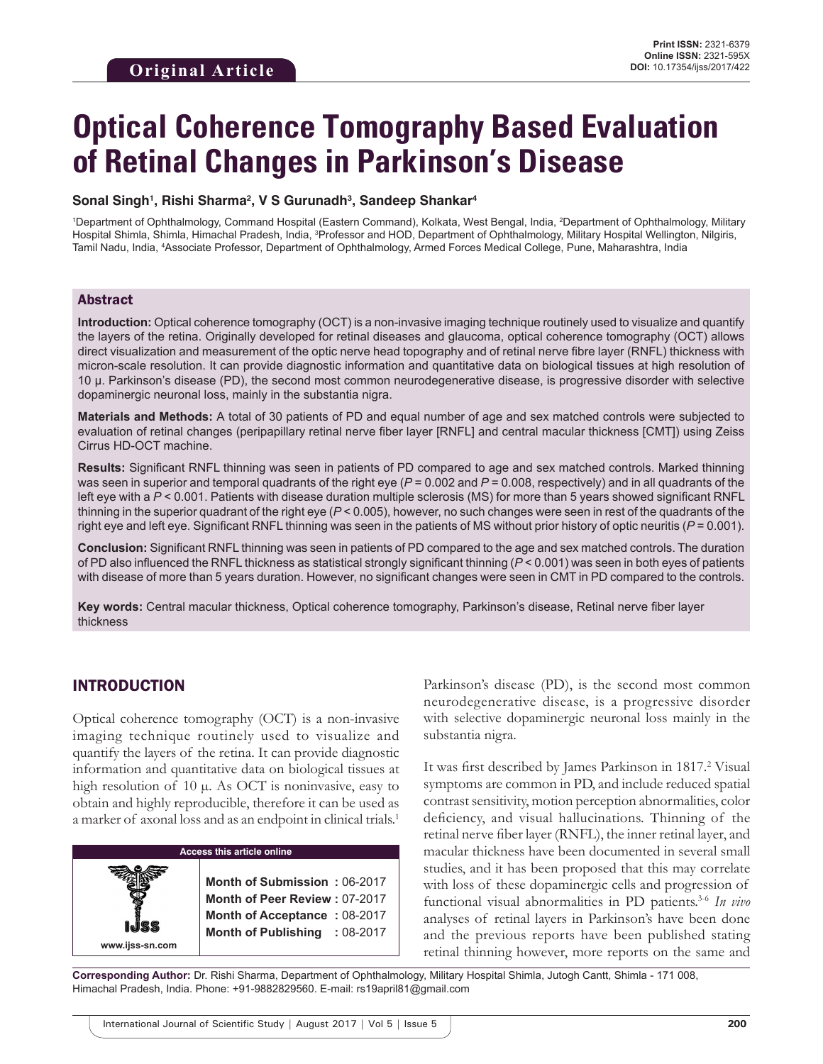# **Optical Coherence Tomography Based Evaluation of Retinal Changes in Parkinson's Disease**

#### **Sonal Singh1 , Rishi Sharma2 , V S Gurunadh3 , Sandeep Shankar4**

1 Department of Ophthalmology, Command Hospital (Eastern Command), Kolkata, West Bengal, India, 2 Department of Ophthalmology, Military Hospital Shimla, Shimla, Himachal Pradesh, India, <sup>3</sup>Professor and HOD, Department of Ophthalmology, Military Hospital Wellington, Nilgiris, Tamil Nadu, India, 4 Associate Professor, Department of Ophthalmology, Armed Forces Medical College, Pune, Maharashtra, India

#### Abstract

**Introduction:** Optical coherence tomography (OCT) is a non-invasive imaging technique routinely used to visualize and quantify the layers of the retina. Originally developed for retinal diseases and glaucoma, optical coherence tomography (OCT) allows direct visualization and measurement of the optic nerve head topography and of retinal nerve fibre layer (RNFL) thickness with micron-scale resolution. It can provide diagnostic information and quantitative data on biological tissues at high resolution of 10 µ. Parkinson's disease (PD), the second most common neurodegenerative disease, is progressive disorder with selective dopaminergic neuronal loss, mainly in the substantia nigra.

**Materials and Methods:** A total of 30 patients of PD and equal number of age and sex matched controls were subjected to evaluation of retinal changes (peripapillary retinal nerve fiber layer [RNFL] and central macular thickness [CMT]) using Zeiss Cirrus HD-OCT machine.

**Results:** Significant RNFL thinning was seen in patients of PD compared to age and sex matched controls. Marked thinning was seen in superior and temporal quadrants of the right eye ( $P = 0.002$  and  $P = 0.008$ , respectively) and in all quadrants of the left eye with a *P* < 0.001. Patients with disease duration multiple sclerosis (MS) for more than 5 years showed significant RNFL thinning in the superior quadrant of the right eye (*P* < 0.005), however, no such changes were seen in rest of the quadrants of the right eye and left eye. Significant RNFL thinning was seen in the patients of MS without prior history of optic neuritis (*P* = 0.001).

**Conclusion:** Significant RNFL thinning was seen in patients of PD compared to the age and sex matched controls. The duration of PD also influenced the RNFL thickness as statistical strongly significant thinning (*P* < 0.001) was seen in both eyes of patients with disease of more than 5 years duration. However, no significant changes were seen in CMT in PD compared to the controls.

**Key words:** Central macular thickness, Optical coherence tomography, Parkinson's disease, Retinal nerve fiber layer thickness

# INTRODUCTION

**www.ijss-sn.com**

Optical coherence tomography (OCT) is a non-invasive imaging technique routinely used to visualize and quantify the layers of the retina. It can provide diagnostic information and quantitative data on biological tissues at high resolution of 10  $\mu$ . As OCT is noninvasive, easy to obtain and highly reproducible, therefore it can be used as a marker of axonal loss and as an endpoint in clinical trials.1

|  | Access this article online |  |
|--|----------------------------|--|
|  |                            |  |

**Month of Submission :** 06-2017 **Month of Peer Review :** 07-2017 **Month of Acceptance : 08-2017 Month of Publishing :** 08-2017 Parkinson's disease (PD), is the second most common neurodegenerative disease, is a progressive disorder with selective dopaminergic neuronal loss mainly in the substantia nigra.

It was first described by James Parkinson in 1817.<sup>2</sup> Visual symptoms are common in PD, and include reduced spatial contrast sensitivity, motion perception abnormalities, color deficiency, and visual hallucinations. Thinning of the retinal nerve fiber layer (RNFL), the inner retinal layer, and macular thickness have been documented in several small studies, and it has been proposed that this may correlate with loss of these dopaminergic cells and progression of functional visual abnormalities in PD patients.3-6 *In vivo* analyses of retinal layers in Parkinson's have been done and the previous reports have been published stating retinal thinning however, more reports on the same and

**Corresponding Author:** Dr. Rishi Sharma, Department of Ophthalmology, Military Hospital Shimla, Jutogh Cantt, Shimla - 171 008, Himachal Pradesh, India. Phone: +91-9882829560. E-mail: rs19april81@gmail.com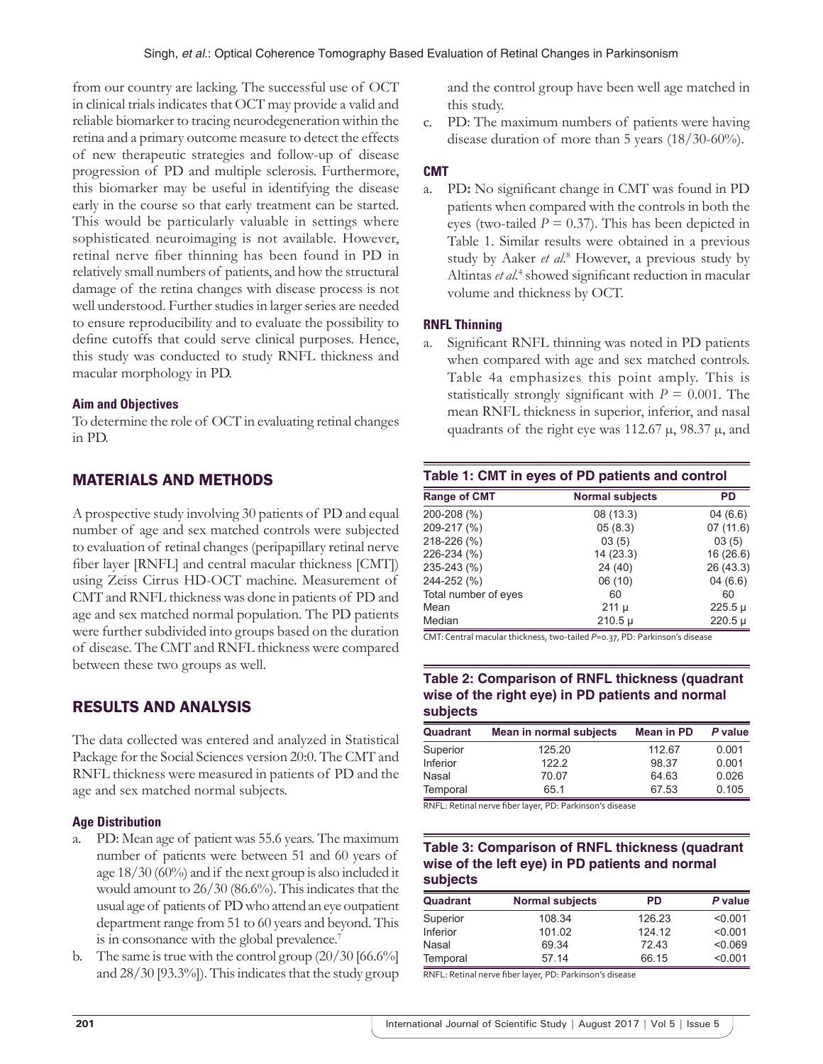from our country are lacking. The successful use of OCT in clinical trials indicates that OCT may provide a valid and reliable biomarker to tracing neurodegeneration within the retina and a primary outcome measure to detect the effects of new therapeutic strategies and follow-up of disease progression of PD and multiple sclerosis. Furthermore, this biomarker may be useful in identifying the disease early in the course so that early treatment can be started. This would be particularly valuable in settings where sophisticated neuroimaging is not available. However, retinal nerve fiber thinning has been found in PD in relatively small numbers of patients, and how the structural damage of the retina changes with disease process is not well understood. Further studies in larger series are needed to ensure reproducibility and to evaluate the possibility to define cutoffs that could serve clinical purposes. Hence, this study was conducted to study RNFL thickness and macular morphology in PD.

#### **Aim and Objectives**

To determine the role of OCT in evaluating retinal changes in PD.

# MATERIALS AND METHODS

A prospective study involving 30 patients of PD and equal number of age and sex matched controls were subjected to evaluation of retinal changes (peripapillary retinal nerve fiber layer [RNFL] and central macular thickness [CMT]) using Zeiss Cirrus HD-OCT machine. Measurement of CMT and RNFL thickness was done in patients of PD and age and sex matched normal population. The PD patients were further subdivided into groups based on the duration of disease. The CMT and RNFL thickness were compared between these two groups as well.

# RESULTS AND ANALYSIS

The data collected was entered and analyzed in Statistical Package for the Social Sciences version 20:0. The CMT and RNFL thickness were measured in patients of PD and the age and sex matched normal subjects.

#### **Age Distribution**

- a. PD: Mean age of patient was 55.6 years. The maximum number of patients were between 51 and 60 years of age 18/30 (60%) and if the next group is also included it would amount to 26/30 (86.6%). This indicates that the usual age of patients of PD who attend an eye outpatient department range from 51 to 60 years and beyond. This is in consonance with the global prevalence.<sup>7</sup>
- b. The same is true with the control group  $(20/30)$  [66.6%] and 28/30 [93.3%]). This indicates that the study group

and the control group have been well age matched in this study.

c. PD: The maximum numbers of patients were having disease duration of more than 5 years (18/30-60%).

#### **CMT**

a. PD**:** No significant change in CMT was found in PD patients when compared with the controls in both the eyes (two-tailed  $P = 0.37$ ). This has been depicted in Table 1. Similar results were obtained in a previous study by Aaker *et al.*<sup>8</sup> However, a previous study by Altintas *et al.*<sup>4</sup> showed significant reduction in macular volume and thickness by OCT.

#### **RNFL Thinning**

a. Significant RNFL thinning was noted in PD patients when compared with age and sex matched controls. Table 4a emphasizes this point amply. This is statistically strongly significant with  $P = 0.001$ . The mean RNFL thickness in superior, inferior, and nasal quadrants of the right eye was 112.67  $\mu$ , 98.37  $\mu$ , and

| Table 1: CMT in eyes of PD patients and control |                        |             |  |  |
|-------------------------------------------------|------------------------|-------------|--|--|
| <b>Range of CMT</b>                             | <b>Normal subjects</b> | PD          |  |  |
| 200-208 (%)                                     | 08 (13.3)              | 04(6.6)     |  |  |
| 209-217 (%)                                     | 05(8.3)                | 07(11.6)    |  |  |
| 218-226 (%)                                     | 03(5)                  | 03(5)       |  |  |
| 226-234 (%)                                     | 14 (23.3)              | 16 (26.6)   |  |  |
| 235-243 (%)                                     | 24 (40)                | 26 (43.3)   |  |  |
| 244-252 (%)                                     | 06 (10)                | 04(6.6)     |  |  |
| Total number of eyes                            | 60                     | 60          |  |  |
| Mean                                            | 211 µ                  | $225.5 \mu$ |  |  |
| Median                                          | $210.5 \mu$            | $220.5 \mu$ |  |  |

CMT: Central macular thickness, two-tailed P=0.37, PD: Parkinson's disease

## **Table 2: Comparison of RNFL thickness (quadrant wise of the right eye) in PD patients and normal subjects**

| Quadrant | Mean in normal subjects | <b>Mean in PD</b> | P value |
|----------|-------------------------|-------------------|---------|
| Superior | 125.20                  | 112.67            | 0.001   |
| Inferior | 122.2                   | 98.37             | 0.001   |
| Nasal    | 70.07                   | 64.63             | 0.026   |
| Temporal | 65.1                    | 67.53             | 0.105   |

RNFL: Retinal nerve fiber layer, PD: Parkinson's disease

## **Table 3: Comparison of RNFL thickness (quadrant wise of the left eye) in PD patients and normal subjects**

| Quadrant | <b>Normal subjects</b> | PD     | P value |
|----------|------------------------|--------|---------|
| Superior | 108.34                 | 126.23 | < 0.001 |
| Inferior | 101.02                 | 124.12 | < 0.001 |
| Nasal    | 69.34                  | 72.43  | < 0.069 |
| Temporal | 57.14                  | 66.15  | < 0.001 |

RNFL: Retinal nerve fiber layer, PD: Parkinson's disease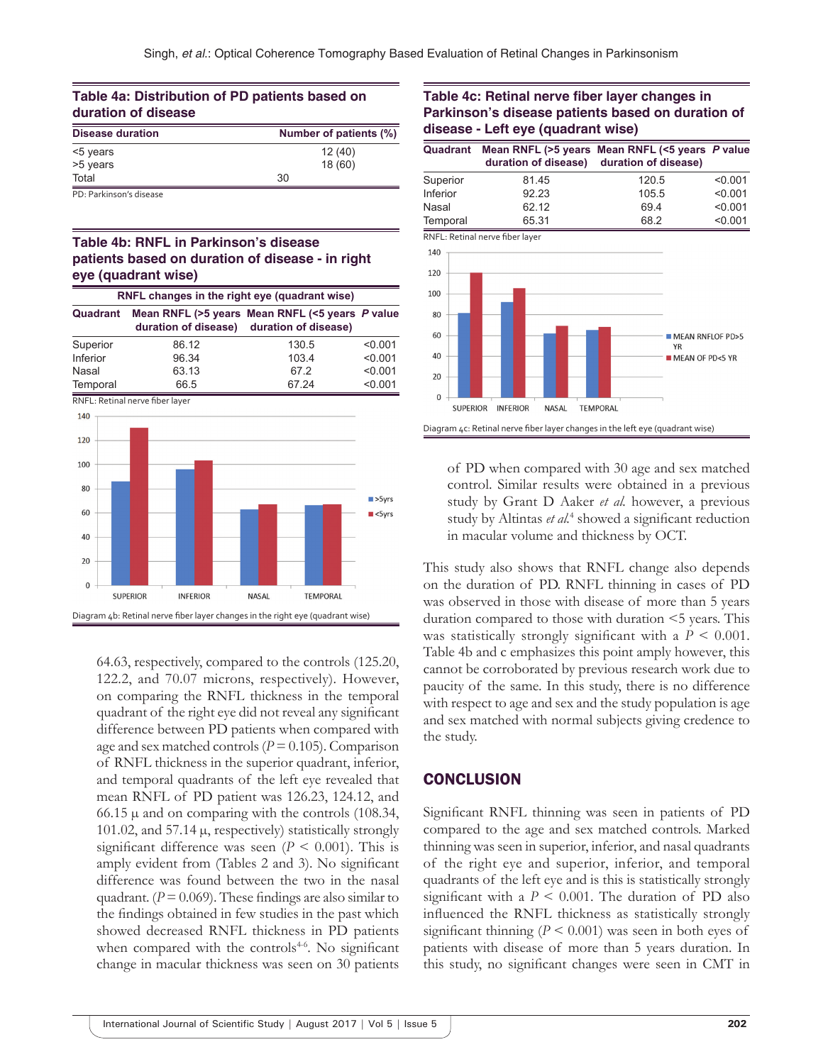| Table 4a: Distribution of PD patients based on |  |  |
|------------------------------------------------|--|--|
| duration of disease                            |  |  |
|                                                |  |  |

| <b>Disease duration</b> | Number of patients (%) |  |  |
|-------------------------|------------------------|--|--|
| <5 years                | 12(40)                 |  |  |
| >5 years                | 18(60)                 |  |  |
| Total                   | 30                     |  |  |
|                         |                        |  |  |

PD: Parkinson's disease

## **Table 4b: RNFL in Parkinson's disease patients based on duration of disease ‑ in right eye (quadrant wise)**

| RNFL changes in the right eye (quadrant wise) |       |                                                                                              |         |
|-----------------------------------------------|-------|----------------------------------------------------------------------------------------------|---------|
| Quadrant                                      |       | Mean RNFL (>5 years Mean RNFL (<5 years P value<br>duration of disease) duration of disease) |         |
| Superior                                      | 86.12 | 130.5                                                                                        | < 0.001 |
| Inferior                                      | 96.34 | 103.4                                                                                        | < 0.001 |
| Nasal                                         | 63.13 | 672                                                                                          | < 0.001 |
| Temporal                                      | 66.5  | 67.24                                                                                        | < 0.001 |

RNFL: Retinal nerve fiber layer



64.63, respectively, compared to the controls (125.20, 122.2, and 70.07 microns, respectively). However, on comparing the RNFL thickness in the temporal quadrant of the right eye did not reveal any significant difference between PD patients when compared with age and sex matched controls  $(P = 0.105)$ . Comparison of RNFL thickness in the superior quadrant, inferior, and temporal quadrants of the left eye revealed that mean RNFL of PD patient was 126.23, 124.12, and 66.15  $\mu$  and on comparing with the controls (108.34, 101.02, and 57.14  $\mu$ , respectively) statistically strongly significant difference was seen  $(P \le 0.001)$ . This is amply evident from (Tables 2 and 3). No significant difference was found between the two in the nasal quadrant.  $(P = 0.069)$ . These findings are also similar to the findings obtained in few studies in the past which showed decreased RNFL thickness in PD patients when compared with the controls $4-6$ . No significant change in macular thickness was seen on 30 patients

#### **Table 4c: Retinal nerve fiber layer changes in Parkinson's disease patients based on duration of disease - Left eye (quadrant wise)**

| Quadrant        | duration of disease)                                                          | Mean RNFL (>5 years Mean RNFL (<5 years P value<br>duration of disease) |                            |
|-----------------|-------------------------------------------------------------------------------|-------------------------------------------------------------------------|----------------------------|
| Superior        | 81.45                                                                         | 120.5                                                                   | < 0.001                    |
| Inferior        | 92.23                                                                         | 105.5                                                                   | < 0.001                    |
| Nasal           | 62.12                                                                         | 69.4                                                                    | < 0.001                    |
| Temporal        | 65.31                                                                         | 68.2                                                                    | < 0.001                    |
|                 | RNFL: Retinal nerve fiber layer                                               |                                                                         |                            |
| 140             |                                                                               |                                                                         |                            |
| 120             |                                                                               |                                                                         |                            |
| 100             |                                                                               |                                                                         |                            |
| 80              |                                                                               |                                                                         |                            |
| 60              |                                                                               | <b>YR</b>                                                               | <b>MEAN RNFLOF PD&gt;5</b> |
| 40              |                                                                               | <b>MEAN OF PD&lt;5 YR</b>                                               |                            |
| 20              |                                                                               |                                                                         |                            |
| $\Omega$        |                                                                               |                                                                         |                            |
| <b>SUPERIOR</b> | <b>NASAL</b><br><b>INFERIOR</b>                                               | <b>TEMPORAL</b>                                                         |                            |
|                 | Diagram 4c: Retinal nerve fiber layer changes in the left eye (quadrant wise) |                                                                         |                            |

of PD when compared with 30 age and sex matched control. Similar results were obtained in a previous study by Grant D Aaker *et al.* however, a previous study by Altintas et al.<sup>4</sup> showed a significant reduction in macular volume and thickness by OCT.

This study also shows that RNFL change also depends on the duration of PD. RNFL thinning in cases of PD was observed in those with disease of more than 5 years duration compared to those with duration <5 years. This was statistically strongly significant with a *P* < 0.001. Table 4b and c emphasizes this point amply however, this cannot be corroborated by previous research work due to paucity of the same. In this study, there is no difference with respect to age and sex and the study population is age and sex matched with normal subjects giving credence to the study.

## **CONCLUSION**

Significant RNFL thinning was seen in patients of PD compared to the age and sex matched controls. Marked thinning was seen in superior, inferior, and nasal quadrants of the right eye and superior, inferior, and temporal quadrants of the left eye and is this is statistically strongly significant with a  $P \leq 0.001$ . The duration of PD also influenced the RNFL thickness as statistically strongly significant thinning  $(P < 0.001)$  was seen in both eyes of patients with disease of more than 5 years duration. In this study, no significant changes were seen in CMT in